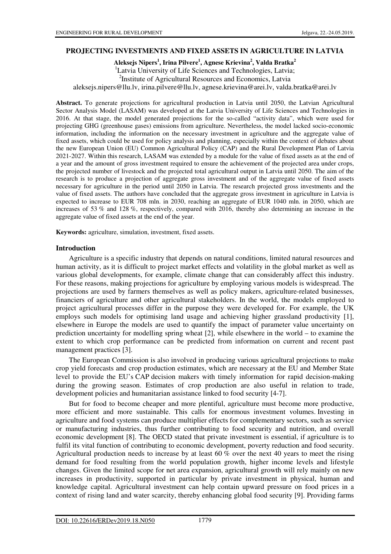## **PROJECTING INVESTMENTS AND FIXED ASSETS IN AGRICULTURE IN LATVIA**

**Aleksejs Nipers<sup>1</sup> , Irina Pilvere<sup>1</sup> , Agnese Krievina<sup>2</sup> , Valda Bratka<sup>2</sup>** <sup>1</sup>Latvia University of Life Sciences and Technologies, Latvia; <sup>2</sup>Institute of Agricultural Resources and Economics, Latvia aleksejs.nipers@llu.lv, irina.pilvere@llu.lv, agnese.krievina@arei.lv, valda.bratka@arei.lv

**Abstract.** To generate projections for agricultural production in Latvia until 2050, the Latvian Agricultural Sector Analysis Model (LASAM) was developed at the Latvia University of Life Sciences and Technologies in 2016. At that stage, the model generated projections for the so-called "activity data", which were used for projecting GHG (greenhouse gases) emissions from agriculture. Nevertheless, the model lacked socio-economic information, including the information on the necessary investment in agriculture and the aggregate value of fixed assets, which could be used for policy analysis and planning, especially within the context of debates about the new European Union (EU) Common Agricultural Policy (CAP) and the Rural Development Plan of Latvia 2021-2027. Within this research, LASAM was extended by a module for the value of fixed assets as at the end of a year and the amount of gross investment required to ensure the achievement of the projected area under crops, the projected number of livestock and the projected total agricultural output in Latvia until 2050. The aim of the research is to produce a projection of aggregate gross investment and of the aggregate value of fixed assets necessary for agriculture in the period until 2050 in Latvia. The research projected gross investments and the value of fixed assets. The authors have concluded that the aggregate gross investment in agriculture in Latvia is expected to increase to EUR 708 mln. in 2030, reaching an aggregate of EUR 1040 mln. in 2050, which are increases of 53 % and 128 %, respectively, compared with 2016, thereby also determining an increase in the aggregate value of fixed assets at the end of the year.

**Keywords:** agriculture, simulation, investment, fixed assets.

### **Introduction**

Agriculture is a specific industry that depends on natural conditions, limited natural resources and human activity, as it is difficult to project market effects and volatility in the global market as well as various global developments, for example, climate change that can considerably affect this industry. For these reasons, making projections for agriculture by employing various models is widespread. The projections are used by farmers themselves as well as policy makers, agriculture-related businesses, financiers of agriculture and other agricultural stakeholders. In the world, the models employed to project agricultural processes differ in the purpose they were developed for. For example, the UK employs such models for optimising land usage and achieving higher grassland productivity [1], elsewhere in Europe the models are used to quantify the impact of parameter value uncertainty on prediction uncertainty for modelling spring wheat [2], while elsewhere in the world – to examine the extent to which crop performance can be predicted from information on current and recent past management practices [3].

The European Commission is also involved in producing various agricultural projections to make crop yield forecasts and crop production estimates, which are necessary at the EU and Member State level to provide the EU's CAP decision makers with timely information for rapid decision-making during the growing season. Estimates of crop production are also useful in relation to trade, development policies and humanitarian assistance linked to food security [4-7].

But for food to become cheaper and more plentiful, agriculture must become more productive, more efficient and more sustainable. This calls for enormous investment volumes. Investing in agriculture and food systems can produce multiplier effects for complementary sectors, such as service or manufacturing industries, thus further contributing to food security and nutrition, and overall economic development [8]. The OECD stated that private investment is essential, if agriculture is to fulfil its vital function of contributing to economic development, poverty reduction and food security. Agricultural production needs to increase by at least 60  $\%$  over the next 40 years to meet the rising demand for food resulting from the world population growth, higher income levels and lifestyle changes. Given the limited scope for net area expansion, agricultural growth will rely mainly on new increases in productivity, supported in particular by private investment in physical, human and knowledge capital. Agricultural investment can help contain upward pressure on food prices in a context of rising land and water scarcity, thereby enhancing global food security [9]. Providing farms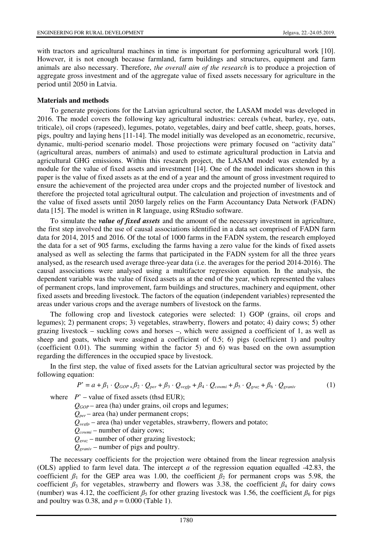with tractors and agricultural machines in time is important for performing agricultural work [10]. However, it is not enough because farmland, farm buildings and structures, equipment and farm animals are also necessary. Therefore, *the overall aim of the research* is to produce a projection of aggregate gross investment and of the aggregate value of fixed assets necessary for agriculture in the period until 2050 in Latvia.

## **Materials and methods**

To generate projections for the Latvian agricultural sector, the LASAM model was developed in 2016. The model covers the following key agricultural industries: cereals (wheat, barley, rye, oats, triticale), oil crops (rapeseed), legumes, potato, vegetables, dairy and beef cattle, sheep, goats, horses, pigs, poultry and laying hens [11-14]. The model initially was developed as an econometric, recursive, dynamic, multi-period scenario model. Those projections were primary focused on "activity data" (agricultural areas, numbers of animals) and used to estimate agricultural production in Latvia and agricultural GHG emissions. Within this research project, the LASAM model was extended by a module for the value of fixed assets and investment [14]. One of the model indicators shown in this paper is the value of fixed assets as at the end of a year and the amount of gross investment required to ensure the achievement of the projected area under crops and the projected number of livestock and therefore the projected total agricultural output. The calculation and projection of investments and of the value of fixed assets until 2050 largely relies on the Farm Accountancy Data Network (FADN) data [15]. The model is written in R language, using RStudio software.

To simulate the *value of fixed assets* and the amount of the necessary investment in agriculture, the first step involved the use of causal associations identified in a data set comprised of FADN farm data for 2014, 2015 and 2016. Of the total of 1000 farms in the FADN system, the research employed the data for a set of 905 farms, excluding the farms having a zero value for the kinds of fixed assets analysed as well as selecting the farms that participated in the FADN system for all the three years analysed, as the research used average three-year data (i.e. the averages for the period 2014-2016). The causal associations were analysed using a multifactor regression equation. In the analysis, the dependent variable was the value of fixed assets as at the end of the year, which represented the values of permanent crops, land improvement, farm buildings and structures, machinery and equipment, other fixed assets and breeding livestock. The factors of the equation (independent variables) represented the areas under various crops and the average numbers of livestock on the farms.

The following crop and livestock categories were selected: 1) GOP (grains, oil crops and legumes); 2) permanent crops; 3) vegetables, strawberry, flowers and potato; 4) dairy cows; 5) other grazing livestock – suckling cows and horses –, which were assigned a coefficient of 1, as well as sheep and goats, which were assigned a coefficient of 0.5; 6) pigs (coefficient 1) and poultry (coefficient 0.01). The summing within the factor 5) and 6) was based on the own assumption regarding the differences in the occupied space by livestock.

In the first step, the value of fixed assets for the Latvian agricultural sector was projected by the following equation:

$$
P' = a + \beta_1 \cdot Q_{GOP} + \beta_2 \cdot Q_{per} + \beta_3 \cdot Q_{vegfp} + \beta_4 \cdot Q_{comni} + \beta_5 \cdot Q_{graz} + \beta_6 \cdot Q_{graniv}
$$
(1)

where  $P'$  – value of fixed assets (thsd EUR);

 *QGOP* – area (ha) under grains, oil crops and legumes;  $Q_{per}$  – area (ha) under permanent crops;  $Q_{\text{v}ee\text{fm}}$  – area (ha) under vegetables, strawberry, flowers and potato;  *Qcowmi* – number of dairy cows;  *Qgraz* – number of other grazing livestock;  *Qgraniv* – number of pigs and poultry.

The necessary coefficients for the projection were obtained from the linear regression analysis (OLS) applied to farm level data. The intercept *a* of the regression equation equalled -42.83, the coefficient  $\beta_1$  for the GEP area was 1.00, the coefficient  $\beta_2$  for permanent crops was 5.98, the coefficient  $\beta_3$  for vegetables, strawberry and flowers was 3.38, the coefficient  $\beta_4$  for dairy cows (number) was 4.12, the coefficient  $\beta_5$  for other grazing livestock was 1.56, the coefficient  $\beta_6$  for pigs and poultry was 0.38, and  $p = 0.000$  (Table 1).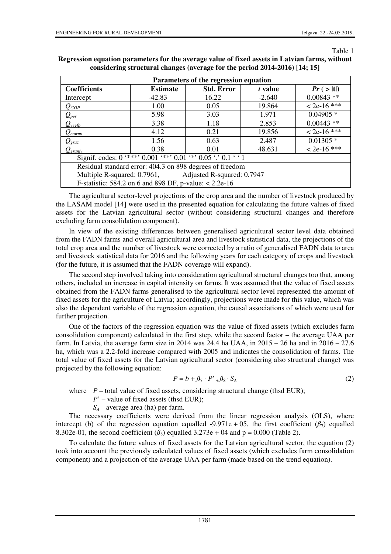#### Table 1

| Parameters of the regression equation                                  |                 |                   |          |               |  |  |  |  |
|------------------------------------------------------------------------|-----------------|-------------------|----------|---------------|--|--|--|--|
| <b>Coefficients</b>                                                    | <b>Estimate</b> | <b>Std. Error</b> | t value  | Pr(>  t )     |  |  |  |  |
| Intercept                                                              | $-42.83$        | 16.22             | $-2.640$ | $0.00843**$   |  |  |  |  |
| $\mathcal{Q}_{GOP}$                                                    | 1.00            | 0.05              | 19.864   | $< 2e-16$ *** |  |  |  |  |
| $\mathcal{Q}_{\scriptscriptstyle{per}}$                                | 5.98            | 3.03              | 1.971    | $0.04905*$    |  |  |  |  |
| $Q_{\text{vegfp}}$                                                     | 3.38            | 1.18              | 2.853    | $0.00443**$   |  |  |  |  |
| $\mathcal{Q}_{cowni}$                                                  | 4.12            | 0.21              | 19.856   | $< 2e-16$ *** |  |  |  |  |
| $\mathcal{Q}_{\mathit{graz}}$                                          | 1.56            | 0.63              | 2.487    | $0.01305*$    |  |  |  |  |
| $Q_{\text{gen}iv}$                                                     | 0.38            | 0.01              | 48.631   | $< 2e-16$ *** |  |  |  |  |
| Signif. codes: $0$ '***' $0.001$ '**' $0.01$ '*' $0.05$ '.' $0.1$ ' '1 |                 |                   |          |               |  |  |  |  |
| Residual standard error: 404.3 on 898 degrees of freedom               |                 |                   |          |               |  |  |  |  |
| Multiple R-squared: 0.7961, Adjusted R-squared: 0.7947                 |                 |                   |          |               |  |  |  |  |
| F-statistic: 584.2 on 6 and 898 DF, p-value: $< 2.2e-16$               |                 |                   |          |               |  |  |  |  |

# **Regression equation parameters for the average value of fixed assets in Latvian farms, without considering structural changes (average for the period 2014-2016) [14; 15]**

The agricultural sector-level projections of the crop area and the number of livestock produced by the LASAM model [14] were used in the presented equation for calculating the future values of fixed assets for the Latvian agricultural sector (without considering structural changes and therefore excluding farm consolidation component).

In view of the existing differences between generalised agricultural sector level data obtained from the FADN farms and overall agricultural area and livestock statistical data, the projections of the total crop area and the number of livestock were corrected by a ratio of generalised FADN data to area and livestock statistical data for 2016 and the following years for each category of crops and livestock (for the future, it is assumed that the FADN coverage will expand).

The second step involved taking into consideration agricultural structural changes too that, among others, included an increase in capital intensity on farms. It was assumed that the value of fixed assets obtained from the FADN farms generalised to the agricultural sector level represented the amount of fixed assets for the agriculture of Latvia; accordingly, projections were made for this value, which was also the dependent variable of the regression equation, the causal associations of which were used for further projection.

One of the factors of the regression equation was the value of fixed assets (which excludes farm consolidation component) calculated in the first step, while the second factor – the average UAA per farm. In Latvia, the average farm size in 2014 was 24.4 ha UAA, in  $2015 - 26$  ha and in  $2016 - 27.6$ ha, which was a 2.2-fold increase compared with 2005 and indicates the consolidation of farms. The total value of fixed assets for the Latvian agricultural sector (considering also structural change) was projected by the following equation:

$$
P = b + \beta_7 \cdot P^* + \beta_8 \cdot S_A \tag{2}
$$

where  $P$  – total value of fixed assets, considering structural change (thsd EUR);

*P*' – value of fixed assets (thsd EUR);

 $S_A$  – average area (ha) per farm.

The necessary coefficients were derived from the linear regression analysis (OLS), where intercept (b) of the regression equation equalled -9.971e + 05, the first coefficient ( $\beta_7$ ) equalled 8.302e-01, the second coefficient  $(\beta_8)$  equalled 3.273e + 04 and p = 0.000 (Table 2).

To calculate the future values of fixed assets for the Latvian agricultural sector, the equation (2) took into account the previously calculated values of fixed assets (which excludes farm consolidation component) and a projection of the average UAA per farm (made based on the trend equation).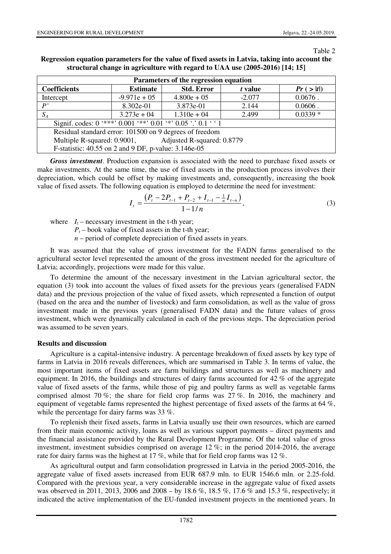#### Table 2

| Regression equation parameters for the value of fixed assets in Latvia, taking into account the |  |
|-------------------------------------------------------------------------------------------------|--|
| structural change in agriculture with regard to UAA use $(2005-2016)$ [14; 15]                  |  |

| Parameters of the regression equation                                  |                 |                   |          |            |  |  |  |  |
|------------------------------------------------------------------------|-----------------|-------------------|----------|------------|--|--|--|--|
| <b>Coefficients</b>                                                    | <b>Estimate</b> | <b>Std. Error</b> | t value  | Pr(>  t )  |  |  |  |  |
| Intercept                                                              | $-9.971e + 05$  | $4.800e + 05$     | $-2.077$ | $0.0676$ . |  |  |  |  |
| P'                                                                     | 8.302e-01       | 3.873e-01         | 2.144    | $0.0606$ . |  |  |  |  |
| $S_A$                                                                  | $3.273e + 04$   | $1.310e + 04$     | 2.499    | $0.0339*$  |  |  |  |  |
| Signif. codes: $0$ '***' $0.001$ '**' $0.01$ '*' $0.05$ '.' $0.1$ ' '1 |                 |                   |          |            |  |  |  |  |
| Residual standard error: 101500 on 9 degrees of freedom                |                 |                   |          |            |  |  |  |  |
| Multiple R-squared: 0.9001, Adjusted R-squared: 0.8779                 |                 |                   |          |            |  |  |  |  |
| F-statistic: 40.55 on 2 and 9 DF, p-value: 3.146e-05                   |                 |                   |          |            |  |  |  |  |

*Gross investment*. Production expansion is associated with the need to purchase fixed assets or make investments. At the same time, the use of fixed assets in the production process involves their depreciation, which could be offset by making investments and, consequently, increasing the book value of fixed assets. The following equation is employed to determine the need for investment:

$$
I_{t} = \frac{\left(P_{t} - 2P_{t-1} + P_{t-2} + I_{t-1} - \frac{1}{n}I_{t-n}\right)}{1 - 1/n},\tag{3}
$$

where  $I_t$  – necessary investment in the t-th year;

 $P_t$  – book value of fixed assets in the t-th year;

 *n* – period of complete depreciation of fixed assets in years.

It was assumed that the value of gross investment for the FADN farms generalised to the agricultural sector level represented the amount of the gross investment needed for the agriculture of Latvia; accordingly, projections were made for this value.

To determine the amount of the necessary investment in the Latvian agricultural sector, the equation (3) took into account the values of fixed assets for the previous years (generalised FADN data) and the previous projection of the value of fixed assets, which represented a function of output (based on the area and the number of livestock) and farm consolidation, as well as the value of gross investment made in the previous years (generalised FADN data) and the future values of gross investment, which were dynamically calculated in each of the previous steps. The depreciation period was assumed to be seven years.

## **Results and discussion**

Agriculture is a capital-intensive industry. A percentage breakdown of fixed assets by key type of farms in Latvia in 2016 reveals differences, which are summarised in Table 3. In terms of value, the most important items of fixed assets are farm buildings and structures as well as machinery and equipment. In 2016, the buildings and structures of dairy farms accounted for 42 % of the aggregate value of fixed assets of the farms, while those of pig and poultry farms as well as vegetable farms comprised almost 70 %; the share for field crop farms was 27 %. In 2016, the machinery and equipment of vegetable farms represented the highest percentage of fixed assets of the farms at 64 %, while the percentage for dairy farms was 33 %.

To replenish their fixed assets, farms in Latvia usually use their own resources, which are earned from their main economic activity, loans as well as various support payments – direct payments and the financial assistance provided by the Rural Development Programme. Of the total value of gross investment, investment subsidies comprised on average 12 %; in the period 2014-2016, the average rate for dairy farms was the highest at 17 %, while that for field crop farms was 12 %.

As agricultural output and farm consolidation progressed in Latvia in the period 2005-2016, the aggregate value of fixed assets increased from EUR 687.9 mln. to EUR 1546.6 mln. or 2.25-fold. Compared with the previous year, a very considerable increase in the aggregate value of fixed assets was observed in 2011, 2013, 2006 and 2008 – by 18.6 %, 18.5 %, 17.6 % and 15.3 %, respectively; it indicated the active implementation of the EU-funded investment projects in the mentioned years. In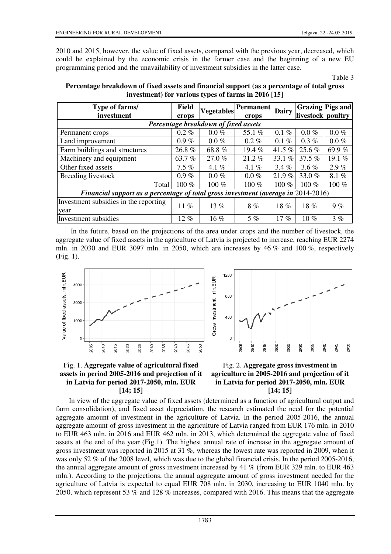2010 and 2015, however, the value of fixed assets, compared with the previous year, decreased, which could be explained by the economic crisis in the former case and the beginning of a new EU programming period and the unavailability of investment subsidies in the latter case.

Table 3

| Type of farms/<br>investment                                                       | Field<br>crops | <b>Vegetables</b> | <b>Permanent</b><br>crops | <b>Dairy</b> | livestock poultry | Grazing Pigs and |  |  |  |
|------------------------------------------------------------------------------------|----------------|-------------------|---------------------------|--------------|-------------------|------------------|--|--|--|
| Percentage breakdown of fixed assets                                               |                |                   |                           |              |                   |                  |  |  |  |
| Permanent crops                                                                    | $0.2\%$        | $0.0\%$           | 55.1%                     | $0.1\%$      | $0.0\%$           | $0.0 \%$         |  |  |  |
| Land improvement                                                                   | $0.9\%$        | $0.0\%$           | $0.2\%$                   | $0.1 \%$     | $0.3\%$           | $0.0\%$          |  |  |  |
| Farm buildings and structures                                                      | 26.8%          | 68.8%             | 19.4%                     | 41.5%        | 25.6 %            | 69.9%            |  |  |  |
| Machinery and equipment                                                            | 63.7 %         | 27.0%             | $21.2\%$                  | 33.1 %       | 37.5 %            | 19.1 %           |  |  |  |
| Other fixed assets                                                                 | $7.5\%$        | 4.1 %             | 4.1 %                     | $3.4\%$      | $3.6\%$           | 2.9%             |  |  |  |
| Breeding livestock                                                                 | $0.9\%$        | $0.0\%$           | $0.0\%$                   | 21.9%        | 33.0 $%$          | 8.1%             |  |  |  |
| Total                                                                              | 100 %          | 100 %             | 100 %                     | 100 $%$      | $100\%$           | 100 %            |  |  |  |
| Financial support as a percentage of total gross investment (average in 2014-2016) |                |                   |                           |              |                   |                  |  |  |  |
| Investment subsidies in the reporting<br>year                                      | 11 $%$         | 13 $%$            | 8%                        | $18\%$       | 18%               | 9%               |  |  |  |
| Investment subsidies                                                               | $12\%$         | $16\%$            | $5\%$                     | 17%          | $10\%$            | 3%               |  |  |  |

**Percentage breakdown of fixed assets and financial support (as a percentage of total gross investment) for various types of farms in 2016 [15]**

 In the future, based on the projections of the area under crops and the number of livestock, the aggregate value of fixed assets in the agriculture of Latvia is projected to increase, reaching EUR 2274 mln. in 2030 and EUR 3097 mln. in 2050, which are increases by 46 % and 100 %, respectively (Fig. 1).









In view of the aggregate value of fixed assets (determined as a function of agricultural output and farm consolidation), and fixed asset depreciation, the research estimated the need for the potential aggregate amount of investment in the agriculture of Latvia. In the period 2005-2016, the annual aggregate amount of gross investment in the agriculture of Latvia ranged from EUR 176 mln. in 2010 to EUR 463 mln. in 2016 and EUR 462 mln. in 2013, which determined the aggregate value of fixed assets at the end of the year (Fig.1). The highest annual rate of increase in the aggregate amount of gross investment was reported in 2015 at 31 %, whereas the lowest rate was reported in 2009, when it was only 52 % of the 2008 level, which was due to the global financial crisis. In the period 2005-2016, the annual aggregate amount of gross investment increased by 41 % (from EUR 329 mln. to EUR 463 mln.). According to the projections, the annual aggregate amount of gross investment needed for the agriculture of Latvia is expected to equal EUR 708 mln. in 2030, increasing to EUR 1040 mln. by 2050, which represent 53 % and 128 % increases, compared with 2016. This means that the aggregate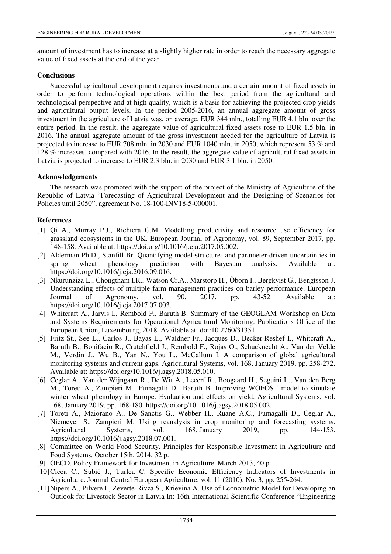amount of investment has to increase at a slightly higher rate in order to reach the necessary aggregate value of fixed assets at the end of the year.

# **Conclusions**

Successful agricultural development requires investments and a certain amount of fixed assets in order to perform technological operations within the best period from the agricultural and technological perspective and at high quality, which is a basis for achieving the projected crop yields and agricultural output levels. In the period 2005-2016, an annual aggregate amount of gross investment in the agriculture of Latvia was, on average, EUR 344 mln., totalling EUR 4.1 bln. over the entire period. In the result, the aggregate value of agricultural fixed assets rose to EUR 1.5 bln. in 2016. The annual aggregate amount of the gross investment needed for the agriculture of Latvia is projected to increase to EUR 708 mln. in 2030 and EUR 1040 mln. in 2050, which represent 53 % and 128 % increases, compared with 2016. In the result, the aggregate value of agricultural fixed assets in Latvia is projected to increase to EUR 2.3 bln. in 2030 and EUR 3.1 bln. in 2050.

## **Acknowledgements**

The research was promoted with the support of the project of the Ministry of Agriculture of the Republic of Latvia "Forecasting of Agricultural Development and the Designing of Scenarios for Policies until 2050", agreement No. 18-100-INV18-5-000001.

## **References**

- [1] Qi A., Murray P.J., Richtera G.M. Modelling productivity and resource use efficiency for grassland ecosystems in the UK. European Journal of Agronomy, vol. 89, September 2017, pp. 148-158. Available at: https://doi.org/10.1016/j.eja.2017.05.002.
- [2] Alderman Ph.D., Stanfill Br. Quantifying model-structure- and parameter-driven uncertainties in spring wheat phenology prediction with Bayesian analysis. Available at: https://doi.org/10.1016/j.eja.2016.09.016.
- [3] Nkurunziza L., Chongtham I.R., Watson Cr.A., Marstorp H., Öborn I., Bergkvist G., Bengtsson J. Understanding effects of multiple farm management practices on barley performance. European Journal of Agronomy, vol. 90, 2017, pp. 43-52. Available at: https://doi.org/10.1016/j.eja.2017.07.003.
- [4] Whitcraft A., Jarvis I., Rembold F., Baruth B. Summary of the GEOGLAM Workshop on Data and Systems Requirements for Operational Agricultural Monitoring. Publications Office of the European Union, Luxembourg, 2018. Available at: doi:10.2760/31351.
- [5] Fritz St., See L., Carlos J., Bayas L., Waldner Fr., Jacques D., Becker-Reshef I., Whitcraft A., Baruth B., Bonifacio R., Crutchfield J., Rembold F., Rojas O., Schucknecht A., Van der Velde M., Verdin J., Wu B., Yan N., You L., McCallum I. A comparison of global agricultural monitoring systems and current gaps. Agricultural Systems, vol. 168, January 2019, pp. 258-272. Available at: https://doi.org/10.1016/j.agsy.2018.05.010.
- [6] Ceglar A., Van der Wijngaart R., De Wit A., Lecerf R., Boogaard H., Seguini L., Van den Berg M., Toreti A., Zampieri M., Fumagalli D., Baruth B. Improving WOFOST model to simulate winter wheat phenology in Europe: Evaluation and effects on yield. Agricultural Systems, vol. 168, January 2019, pp. 168-180. https://doi.org/10.1016/j.agsy.2018.05.002.
- [7] Toreti A., Maiorano A., De Sanctis G., Webber H., Ruane A.C., Fumagalli D., Ceglar A., Niemeyer S., Zampieri M. Using reanalysis in crop monitoring and forecasting systems. Agricultural Systems, vol. 168, January 2019, pp. 144-153. https://doi.org/10.1016/j.agsy.2018.07.001.
- [8] Committee on World Food Security. Principles for Responsible Investment in Agriculture and Food Systems. October 15th, 2014, 32 p.
- [9] OECD. Policy Framework for Investment in Agriculture. March 2013, 40 p.
- [10] Cicea C., Subić J., Turlea C. Specific Economic Efficiency Indicators of Investments in Agriculture. Journal Central European Agriculture, vol. 11 (2010), No. 3, pp. 255-264.
- [11] Nipers A., Pilvere I., Zeverte-Rivza S., Krievina A. Use of Econometric Model for Developing an Outlook for Livestock Sector in Latvia In: 16th International Scientific Conference "Engineering